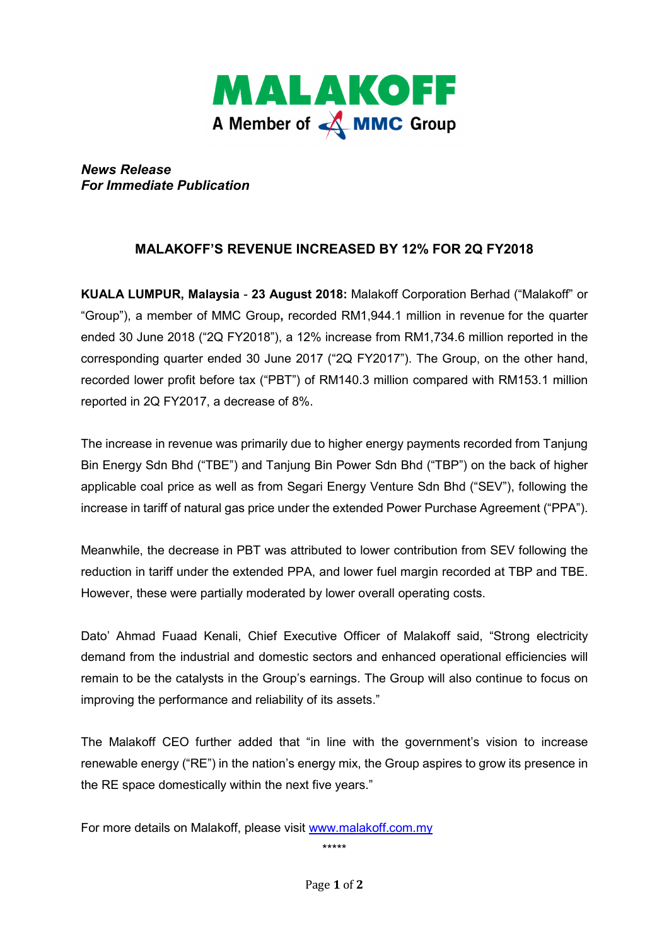

*News Release For Immediate Publication* 

## **MALAKOFF'S REVENUE INCREASED BY 12% FOR 2Q FY2018**

**KUALA LUMPUR, Malaysia** - **23 August 2018:** Malakoff Corporation Berhad ("Malakoff" or "Group"), a member of MMC Group**,** recorded RM1,944.1 million in revenue for the quarter ended 30 June 2018 ("2Q FY2018"), a 12% increase from RM1,734.6 million reported in the corresponding quarter ended 30 June 2017 ("2Q FY2017"). The Group, on the other hand, recorded lower profit before tax ("PBT") of RM140.3 million compared with RM153.1 million reported in 2Q FY2017, a decrease of 8%.

The increase in revenue was primarily due to higher energy payments recorded from Tanjung Bin Energy Sdn Bhd ("TBE") and Tanjung Bin Power Sdn Bhd ("TBP") on the back of higher applicable coal price as well as from Segari Energy Venture Sdn Bhd ("SEV"), following the increase in tariff of natural gas price under the extended Power Purchase Agreement ("PPA").

Meanwhile, the decrease in PBT was attributed to lower contribution from SEV following the reduction in tariff under the extended PPA, and lower fuel margin recorded at TBP and TBE. However, these were partially moderated by lower overall operating costs.

Dato' Ahmad Fuaad Kenali, Chief Executive Officer of Malakoff said, "Strong electricity demand from the industrial and domestic sectors and enhanced operational efficiencies will remain to be the catalysts in the Group's earnings. The Group will also continue to focus on improving the performance and reliability of its assets."

The Malakoff CEO further added that "in line with the government's vision to increase renewable energy ("RE") in the nation's energy mix, the Group aspires to grow its presence in the RE space domestically within the next five years."

For more details on Malakoff, please visit www.malakoff.com.my

\*\*\*\*\*